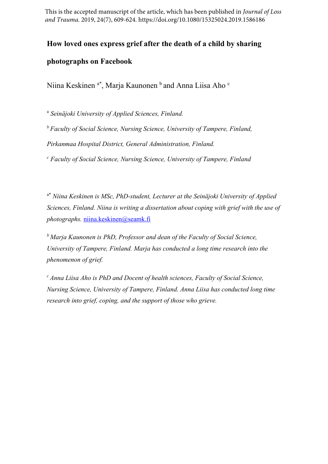This is the accepted manuscript of the article, which has been published in *Journal of Loss and Trauma*. 2019, 24(7), 609-624. https://doi.org/10.1080/15325024.2019.1586186

# **How loved ones express grief after the death of a child by sharing**

# **photographs on Facebook**

Niina Keskinen <sup>a\*</sup>, Marja Kaunonen <sup>b</sup> and Anna Liisa Aho <sup>c</sup>

<sup>a</sup> *Seinäjoki University of Applied Sciences, Finland.* 

*b Faculty of Social Science, Nursing Science, University of Tampere, Finland, Pirkanmaa Hospital District, General Administration, Finland.* 

*c Faculty of Social Science, Nursing Science, University of Tampere, Finland*

a\* *Niina Keskinen is MSc, PhD-student, Lecturer at the Seinäjoki University of Applied Sciences, Finland. Niina is writing a dissertation about coping with grief with the use of photographs.* [niina.keskinen@seamk.fi](mailto:niina.keskinen@seamk.fi)

*b Marja Kaunonen is PhD, Professor and dean of the Faculty of Social Science, University of Tampere, Finland. Marja has conducted a long time research into the phenomenon of grief.*

*c Anna Liisa Aho is PhD and Docent of health sciences, Faculty of Social Science, Nursing Science, University of Tampere, Finland. Anna Liisa has conducted long time research into grief, coping, and the support of those who grieve.*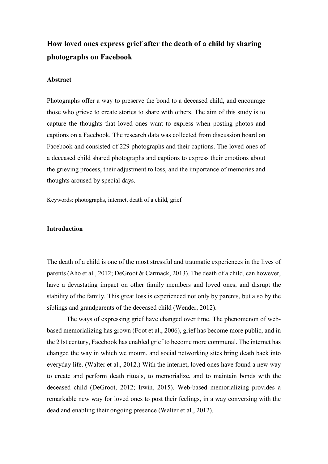# **How loved ones express grief after the death of a child by sharing photographs on Facebook**

# **Abstract**

Photographs offer a way to preserve the bond to a deceased child, and encourage those who grieve to create stories to share with others. The aim of this study is to capture the thoughts that loved ones want to express when posting photos and captions on a Facebook. The research data was collected from discussion board on Facebook and consisted of 229 photographs and their captions. The loved ones of a deceased child shared photographs and captions to express their emotions about the grieving process, their adjustment to loss, and the importance of memories and thoughts aroused by special days.

Keywords: photographs, internet, death of a child, grief

#### **Introduction**

The death of a child is one of the most stressful and traumatic experiences in the lives of parents (Aho et al., 2012; DeGroot & Carmack, 2013). The death of a child, can however, have a devastating impact on other family members and loved ones, and disrupt the stability of the family. This great loss is experienced not only by parents, but also by the siblings and grandparents of the deceased child (Wender, 2012).

The ways of expressing grief have changed over time. The phenomenon of webbased memorializing has grown (Foot et al., 2006), grief has become more public, and in the 21st century, Facebook has enabled grief to become more communal. The internet has changed the way in which we mourn, and social networking sites bring death back into everyday life. (Walter et al., 2012.) With the internet, loved ones have found a new way to create and perform death rituals, to memorialize, and to maintain bonds with the deceased child (DeGroot, 2012; Irwin, 2015). Web-based memorializing provides a remarkable new way for loved ones to post their feelings, in a way conversing with the dead and enabling their ongoing presence (Walter et al., 2012).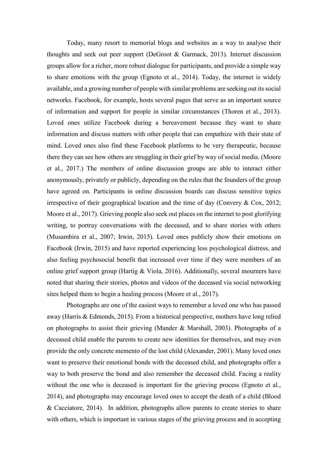Today, many resort to memorial blogs and websites as a way to analyse their thoughts and seek out peer support (DeGroot & Garmack, 2013). Internet discussion groups allow for a richer, more robust dialogue for participants, and provide a simple way to share emotions with the group (Egnoto et al., 2014). Today, the internet is widely available, and a growing number of people with similar problems are seeking out its social networks. Facebook, for example, hosts several pages that serve as an important source of information and support for people in similar circumstances (Thoren et al., 2013). Loved ones utilize Facebook during a bereavement because they want to share information and discuss matters with other people that can empathize with their state of mind. Loved ones also find these Facebook platforms to be very therapeutic, because there they can see how others are struggling in their grief by way of social media. (Moore et al., 2017.) The members of online discussion groups are able to interact either anonymously, privately or publicly, depending on the rules that the founders of the group have agreed on. Participants in online discussion boards can discuss sensitive topics irrespective of their geographical location and the time of day (Convery  $\&$  Cox, 2012; Moore et al., 2017). Grieving people also seek out places on the internet to post glorifying writing, to portray conversations with the deceased, and to share stories with others (Musambira et al., 2007; Irwin, 2015). Loved ones publicly show their emotions on Facebook (Irwin, 2015) and have reported experiencing less psychological distress, and also feeling psychosocial benefit that increased over time if they were members of an online grief support group (Hartig & Viola, 2016). Additionally, several mourners have noted that sharing their stories, photos and videos of the deceased via social networking sites helped them to begin a healing process (Moore et al., 2017).

Photographs are one of the easiest ways to remember a loved one who has passed away (Harris & Edmonds, 2015). From a historical perspective, mothers have long relied on photographs to assist their grieving (Mander & Marshall, 2003). Photographs of a deceased child enable the parents to create new identities for themselves, and may even provide the only concrete memento of the lost child (Alexander, 2001). Many loved ones want to preserve their emotional bonds with the deceased child, and photographs offer a way to both preserve the bond and also remember the deceased child. Facing a reality without the one who is deceased is important for the grieving process (Egnoto et al., 2014), and photographs may encourage loved ones to accept the death of a child (Blood & Cacciatore, 2014). In addition, photographs allow parents to create stories to share with others, which is important in various stages of the grieving process and in accepting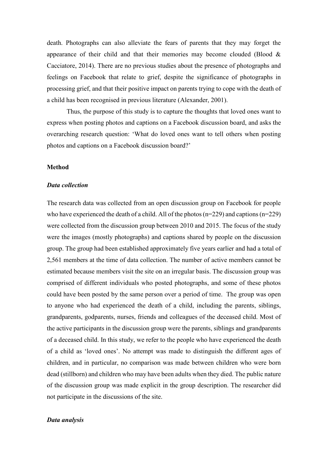death. Photographs can also alleviate the fears of parents that they may forget the appearance of their child and that their memories may become clouded (Blood  $\&$ Cacciatore, 2014). There are no previous studies about the presence of photographs and feelings on Facebook that relate to grief, despite the significance of photographs in processing grief, and that their positive impact on parents trying to cope with the death of a child has been recognised in previous literature (Alexander, 2001).

Thus, the purpose of this study is to capture the thoughts that loved ones want to express when posting photos and captions on a Facebook discussion board, and asks the overarching research question: 'What do loved ones want to tell others when posting photos and captions on a Facebook discussion board?'

#### **Method**

#### *Data collection*

The research data was collected from an open discussion group on Facebook for people who have experienced the death of a child. All of the photos (n=229) and captions (n=229) were collected from the discussion group between 2010 and 2015. The focus of the study were the images (mostly photographs) and captions shared by people on the discussion group. The group had been established approximately five years earlier and had a total of 2,561 members at the time of data collection. The number of active members cannot be estimated because members visit the site on an irregular basis. The discussion group was comprised of different individuals who posted photographs, and some of these photos could have been posted by the same person over a period of time. The group was open to anyone who had experienced the death of a child, including the parents, siblings, grandparents, godparents, nurses, friends and colleagues of the deceased child. Most of the active participants in the discussion group were the parents, siblings and grandparents of a deceased child. In this study, we refer to the people who have experienced the death of a child as 'loved ones'. No attempt was made to distinguish the different ages of children, and in particular, no comparison was made between children who were born dead (stillborn) and children who may have been adults when they died. The public nature of the discussion group was made explicit in the group description. The researcher did not participate in the discussions of the site.

### *Data analysis*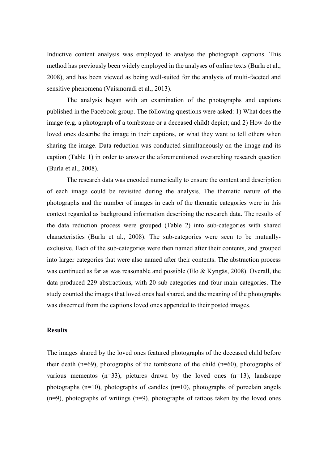Inductive content analysis was employed to analyse the photograph captions. This method has previously been widely employed in the analyses of online texts (Burla et al., 2008), and has been viewed as being well-suited for the analysis of multi-faceted and sensitive phenomena (Vaismoradi et al., 2013).

The analysis began with an examination of the photographs and captions published in the Facebook group. The following questions were asked: 1) What does the image (e.g. a photograph of a tombstone or a deceased child) depict; and 2) How do the loved ones describe the image in their captions, or what they want to tell others when sharing the image. Data reduction was conducted simultaneously on the image and its caption (Table 1) in order to answer the aforementioned overarching research question (Burla et al., 2008).

The research data was encoded numerically to ensure the content and description of each image could be revisited during the analysis. The thematic nature of the photographs and the number of images in each of the thematic categories were in this context regarded as background information describing the research data. The results of the data reduction process were grouped (Table 2) into sub-categories with shared characteristics (Burla et al., 2008). The sub-categories were seen to be mutuallyexclusive. Each of the sub-categories were then named after their contents, and grouped into larger categories that were also named after their contents. The abstraction process was continued as far as was reasonable and possible (Elo & Kyngäs, 2008). Overall, the data produced 229 abstractions, with 20 sub-categories and four main categories. The study counted the images that loved ones had shared, and the meaning of the photographs was discerned from the captions loved ones appended to their posted images.

# **Results**

The images shared by the loved ones featured photographs of the deceased child before their death (n=69), photographs of the tombstone of the child (n=60), photographs of various mementos  $(n=33)$ , pictures drawn by the loved ones  $(n=13)$ , landscape photographs (n=10), photographs of candles (n=10), photographs of porcelain angels (n=9), photographs of writings (n=9), photographs of tattoos taken by the loved ones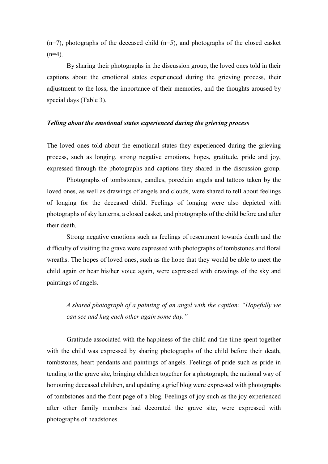$(n=7)$ , photographs of the deceased child  $(n=5)$ , and photographs of the closed casket  $(n=4)$ .

By sharing their photographs in the discussion group, the loved ones told in their captions about the emotional states experienced during the grieving process, their adjustment to the loss, the importance of their memories, and the thoughts aroused by special days (Table 3).

## *Telling about the emotional states experienced during the grieving process*

The loved ones told about the emotional states they experienced during the grieving process, such as longing, strong negative emotions, hopes, gratitude, pride and joy, expressed through the photographs and captions they shared in the discussion group.

Photographs of tombstones, candles, porcelain angels and tattoos taken by the loved ones, as well as drawings of angels and clouds, were shared to tell about feelings of longing for the deceased child. Feelings of longing were also depicted with photographs of sky lanterns, a closed casket, and photographs of the child before and after their death.

Strong negative emotions such as feelings of resentment towards death and the difficulty of visiting the grave were expressed with photographs of tombstones and floral wreaths. The hopes of loved ones, such as the hope that they would be able to meet the child again or hear his/her voice again, were expressed with drawings of the sky and paintings of angels.

*A shared photograph of a painting of an angel with the caption: "Hopefully we can see and hug each other again some day."*

Gratitude associated with the happiness of the child and the time spent together with the child was expressed by sharing photographs of the child before their death, tombstones, heart pendants and paintings of angels. Feelings of pride such as pride in tending to the grave site, bringing children together for a photograph, the national way of honouring deceased children, and updating a grief blog were expressed with photographs of tombstones and the front page of a blog. Feelings of joy such as the joy experienced after other family members had decorated the grave site, were expressed with photographs of headstones.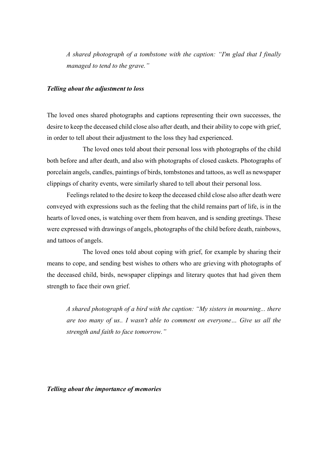*A shared photograph of a tombstone with the caption: "I'm glad that I finally managed to tend to the grave."*

# *Telling about the adjustment to loss*

The loved ones shared photographs and captions representing their own successes, the desire to keep the deceased child close also after death, and their ability to cope with grief, in order to tell about their adjustment to the loss they had experienced.

The loved ones told about their personal loss with photographs of the child both before and after death, and also with photographs of closed caskets. Photographs of porcelain angels, candles, paintings of birds, tombstones and tattoos, as well as newspaper clippings of charity events, were similarly shared to tell about their personal loss.

Feelings related to the desire to keep the deceased child close also after death were conveyed with expressions such as the feeling that the child remains part of life, is in the hearts of loved ones, is watching over them from heaven, and is sending greetings. These were expressed with drawings of angels, photographs of the child before death, rainbows, and tattoos of angels.

The loved ones told about coping with grief, for example by sharing their means to cope, and sending best wishes to others who are grieving with photographs of the deceased child, birds, newspaper clippings and literary quotes that had given them strength to face their own grief.

*A shared photograph of a bird with the caption: "My sisters in mourning... there are too many of us.. I wasn't able to comment on everyone… Give us all the strength and faith to face tomorrow."*

*Telling about the importance of memories*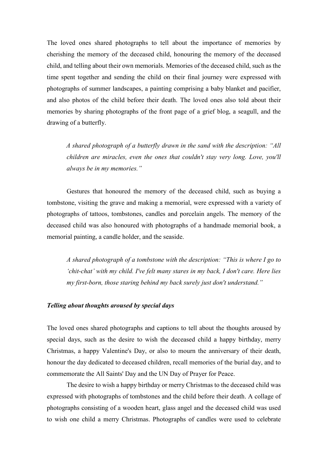The loved ones shared photographs to tell about the importance of memories by cherishing the memory of the deceased child, honouring the memory of the deceased child, and telling about their own memorials. Memories of the deceased child, such as the time spent together and sending the child on their final journey were expressed with photographs of summer landscapes, a painting comprising a baby blanket and pacifier, and also photos of the child before their death. The loved ones also told about their memories by sharing photographs of the front page of a grief blog, a seagull, and the drawing of a butterfly.

*A shared photograph of a butterfly drawn in the sand with the description: "All children are miracles, even the ones that couldn't stay very long. Love, you'll always be in my memories."*

Gestures that honoured the memory of the deceased child, such as buying a tombstone, visiting the grave and making a memorial, were expressed with a variety of photographs of tattoos, tombstones, candles and porcelain angels. The memory of the deceased child was also honoured with photographs of a handmade memorial book, a memorial painting, a candle holder, and the seaside.

*A shared photograph of a tombstone with the description: "This is where I go to 'chit-chat' with my child. I've felt many stares in my back, I don't care. Here lies my first-born, those staring behind my back surely just don't understand."*

# *Telling about thoughts aroused by special days*

The loved ones shared photographs and captions to tell about the thoughts aroused by special days, such as the desire to wish the deceased child a happy birthday, merry Christmas, a happy Valentine's Day, or also to mourn the anniversary of their death, honour the day dedicated to deceased children, recall memories of the burial day, and to commemorate the All Saints' Day and the UN Day of Prayer for Peace.

The desire to wish a happy birthday or merry Christmas to the deceased child was expressed with photographs of tombstones and the child before their death. A collage of photographs consisting of a wooden heart, glass angel and the deceased child was used to wish one child a merry Christmas. Photographs of candles were used to celebrate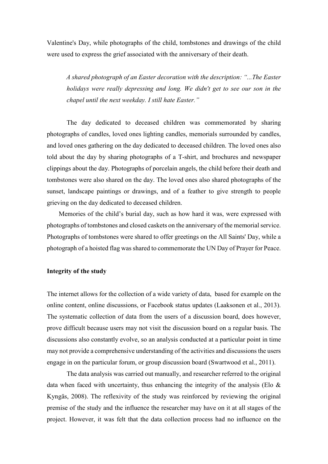Valentine's Day, while photographs of the child, tombstones and drawings of the child were used to express the grief associated with the anniversary of their death.

*A shared photograph of an Easter decoration with the description: "...The Easter holidays were really depressing and long. We didn't get to see our son in the chapel until the next weekday. I still hate Easter."*

The day dedicated to deceased children was commemorated by sharing photographs of candles, loved ones lighting candles, memorials surrounded by candles, and loved ones gathering on the day dedicated to deceased children. The loved ones also told about the day by sharing photographs of a T-shirt, and brochures and newspaper clippings about the day. Photographs of porcelain angels, the child before their death and tombstones were also shared on the day. The loved ones also shared photographs of the sunset, landscape paintings or drawings, and of a feather to give strength to people grieving on the day dedicated to deceased children.

Memories of the child's burial day, such as how hard it was, were expressed with photographs of tombstones and closed caskets on the anniversary of the memorial service. Photographs of tombstones were shared to offer greetings on the All Saints' Day, while a photograph of a hoisted flag was shared to commemorate the UN Day of Prayer for Peace.

### **Integrity of the study**

The internet allows for the collection of a wide variety of data, based for example on the online content, online discussions, or Facebook status updates (Laaksonen et al., 2013). The systematic collection of data from the users of a discussion board, does however, prove difficult because users may not visit the discussion board on a regular basis. The discussions also constantly evolve, so an analysis conducted at a particular point in time may not provide a comprehensive understanding of the activities and discussions the users engage in on the particular forum, or group discussion board (Swartwood et al., 2011).

The data analysis was carried out manually, and researcher referred to the original data when faced with uncertainty, thus enhancing the integrity of the analysis (Elo  $\&$ Kyngäs, 2008). The reflexivity of the study was reinforced by reviewing the original premise of the study and the influence the researcher may have on it at all stages of the project. However, it was felt that the data collection process had no influence on the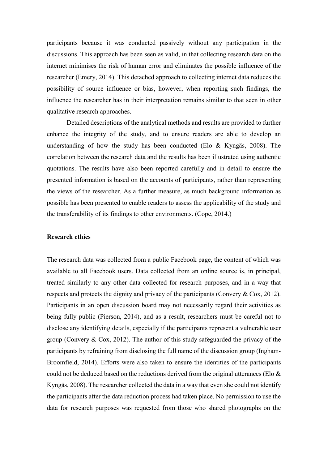participants because it was conducted passively without any participation in the discussions. This approach has been seen as valid, in that collecting research data on the internet minimises the risk of human error and eliminates the possible influence of the researcher (Emery, 2014). This detached approach to collecting internet data reduces the possibility of source influence or bias, however, when reporting such findings, the influence the researcher has in their interpretation remains similar to that seen in other qualitative research approaches.

Detailed descriptions of the analytical methods and results are provided to further enhance the integrity of the study, and to ensure readers are able to develop an understanding of how the study has been conducted (Elo & Kyngäs, 2008). The correlation between the research data and the results has been illustrated using authentic quotations. The results have also been reported carefully and in detail to ensure the presented information is based on the accounts of participants, rather than representing the views of the researcher. As a further measure, as much background information as possible has been presented to enable readers to assess the applicability of the study and the transferability of its findings to other environments. (Cope, 2014.)

#### **Research ethics**

The research data was collected from a public Facebook page, the content of which was available to all Facebook users. Data collected from an online source is, in principal, treated similarly to any other data collected for research purposes, and in a way that respects and protects the dignity and privacy of the participants (Convery & Cox, 2012). Participants in an open discussion board may not necessarily regard their activities as being fully public (Pierson, 2014), and as a result, researchers must be careful not to disclose any identifying details, especially if the participants represent a vulnerable user group (Convery & Cox, 2012). The author of this study safeguarded the privacy of the participants by refraining from disclosing the full name of the discussion group (Ingham-Broomfield, 2014). Efforts were also taken to ensure the identities of the participants could not be deduced based on the reductions derived from the original utterances (Elo  $\&$ Kyngäs, 2008). The researcher collected the data in a way that even she could not identify the participants after the data reduction process had taken place. No permission to use the data for research purposes was requested from those who shared photographs on the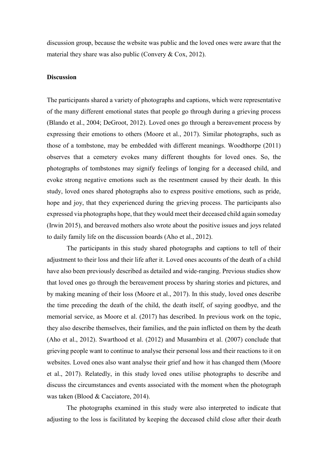discussion group, because the website was public and the loved ones were aware that the material they share was also public (Convery & Cox, 2012).

#### **Discussion**

The participants shared a variety of photographs and captions, which were representative of the many different emotional states that people go through during a grieving process (Blando et al., 2004; DeGroot, 2012). Loved ones go through a bereavement process by expressing their emotions to others (Moore et al., 2017). Similar photographs, such as those of a tombstone, may be embedded with different meanings. Woodthorpe (2011) observes that a cemetery evokes many different thoughts for loved ones. So, the photographs of tombstones may signify feelings of longing for a deceased child, and evoke strong negative emotions such as the resentment caused by their death. In this study, loved ones shared photographs also to express positive emotions, such as pride, hope and joy, that they experienced during the grieving process. The participants also expressed via photographs hope, that they would meet their deceased child again someday (Irwin 2015), and bereaved mothers also wrote about the positive issues and joys related to daily family life on the discussion boards (Aho et al., 2012).

The participants in this study shared photographs and captions to tell of their adjustment to their loss and their life after it. Loved ones accounts of the death of a child have also been previously described as detailed and wide-ranging. Previous studies show that loved ones go through the bereavement process by sharing stories and pictures, and by making meaning of their loss (Moore et al., 2017). In this study, loved ones describe the time preceding the death of the child, the death itself, of saying goodbye, and the memorial service, as Moore et al. (2017) has described. In previous work on the topic, they also describe themselves, their families, and the pain inflicted on them by the death (Aho et al., 2012). Swarthood et al. (2012) and Musambira et al. (2007) conclude that grieving people want to continue to analyse their personal loss and their reactions to it on websites. Loved ones also want analyse their grief and how it has changed them (Moore et al., 2017). Relatedly, in this study loved ones utilise photographs to describe and discuss the circumstances and events associated with the moment when the photograph was taken (Blood & Cacciatore, 2014).

The photographs examined in this study were also interpreted to indicate that adjusting to the loss is facilitated by keeping the deceased child close after their death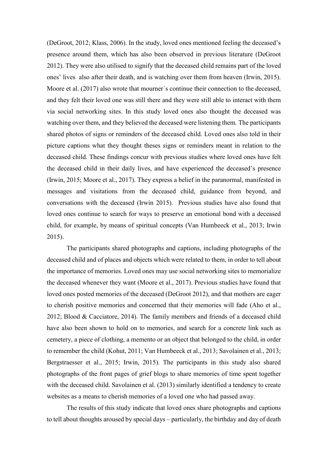(DeGroot, 2012; Klass, 2006). In the study, loved ones mentioned feeling the deceased's presence around them, which has also been observed in previous literature (DeGroot 2012). They were also utilised to signify that the deceased child remains part of the loved ones' lives also after their death, and is watching over them from heaven (Irwin, 2015). Moore et al. (2017) also wrote that mourner´s continue their connection to the deceased, and they felt their loved one was still there and they were still able to interact with them via social networking sites. In this study loved ones also thought the deceased was watching over them, and they believed the deceased were listening them. The participants shared photos of signs or reminders of the deceased child. Loved ones also told in their picture captions what they thought theses signs or reminders meant in relation to the deceased child. These findings concur with previous studies where loved ones have felt the deceased child in their daily lives, and have experienced the deceased's presence (Irwin, 2015; Moore et al., 2017). They express a belief in the paranormal, manifested in messages and visitations from the deceased child, guidance from beyond, and conversations with the deceased (Irwin 2015). Previous studies have also found that loved ones continue to search for ways to preserve an emotional bond with a deceased child, for example, by means of spiritual concepts (Van Humbeeck et al., 2013; Irwin 2015).

The participants shared photographs and captions, including photographs of the deceased child and of places and objects which were related to them, in order to tell about the importance of memories. Loved ones may use social networking sites to memorialize the deceased whenever they want (Moore et al., 2017). Previous studies have found that loved ones posted memories of the deceased (DeGroot 2012), and that mothers are eager to cherish positive memories and concerned that their memories will fade (Aho et al., 2012; Blood & Cacciatore, 2014). The family members and friends of a deceased child have also been shown to hold on to memories, and search for a concrete link such as cemetery, a piece of clothing, a memento or an object that belonged to the child, in order to remember the child (Kohut, 2011; Van Humbeeck et al., 2013; Savolainen et al., 2013; Bergstraesser et al., 2015; Irwin, 2015). The participants in this study also shared photographs of the front pages of grief blogs to share memories of time spent together with the deceased child. Savolainen et al. (2013) similarly identified a tendency to create websites as a means to cherish memories of a loved one who had passed away.

The results of this study indicate that loved ones share photographs and captions to tell about thoughts aroused by special days – particularly, the birthday and day of death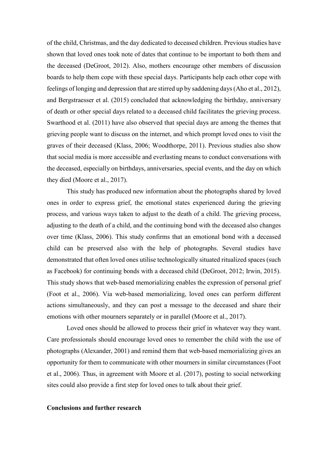of the child, Christmas, and the day dedicated to deceased children. Previous studies have shown that loved ones took note of dates that continue to be important to both them and the deceased (DeGroot, 2012). Also, mothers encourage other members of discussion boards to help them cope with these special days. Participants help each other cope with feelings of longing and depression that are stirred up by saddening days(Aho et al., 2012), and Bergstraesser et al. (2015) concluded that acknowledging the birthday, anniversary of death or other special days related to a deceased child facilitates the grieving process. Swarthood et al. (2011) have also observed that special days are among the themes that grieving people want to discuss on the internet, and which prompt loved ones to visit the graves of their deceased (Klass, 2006; Woodthorpe, 2011). Previous studies also show that social media is more accessible and everlasting means to conduct conversations with the deceased, especially on birthdays, anniversaries, special events, and the day on which they died (Moore et al., 2017).

This study has produced new information about the photographs shared by loved ones in order to express grief, the emotional states experienced during the grieving process, and various ways taken to adjust to the death of a child. The grieving process, adjusting to the death of a child, and the continuing bond with the deceased also changes over time (Klass, 2006). This study confirms that an emotional bond with a deceased child can be preserved also with the help of photographs. Several studies have demonstrated that often loved ones utilise technologically situated ritualized spaces (such as Facebook) for continuing bonds with a deceased child (DeGroot, 2012; Irwin, 2015). This study shows that web-based memorializing enables the expression of personal grief (Foot et al., 2006). Via web-based memorializing, loved ones can perform different actions simultaneously, and they can post a message to the deceased and share their emotions with other mourners separately or in parallel (Moore et al., 2017).

Loved ones should be allowed to process their grief in whatever way they want. Care professionals should encourage loved ones to remember the child with the use of photographs (Alexander, 2001) and remind them that web-based memorializing gives an opportunity for them to communicate with other mourners in similar circumstances (Foot et al., 2006). Thus, in agreement with Moore et al. (2017), posting to social networking sites could also provide a first step for loved ones to talk about their grief.

### **Conclusions and further research**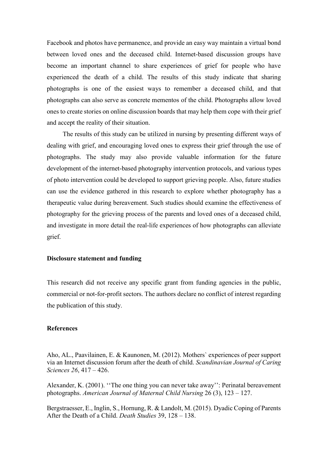Facebook and photos have permanence, and provide an easy way maintain a virtual bond between loved ones and the deceased child. Internet-based discussion groups have become an important channel to share experiences of grief for people who have experienced the death of a child. The results of this study indicate that sharing photographs is one of the easiest ways to remember a deceased child, and that photographs can also serve as concrete mementos of the child. Photographs allow loved ones to create stories on online discussion boards that may help them cope with their grief and accept the reality of their situation.

The results of this study can be utilized in nursing by presenting different ways of dealing with grief, and encouraging loved ones to express their grief through the use of photographs. The study may also provide valuable information for the future development of the internet-based photography intervention protocols, and various types of photo intervention could be developed to support grieving people. Also, future studies can use the evidence gathered in this research to explore whether photography has a therapeutic value during bereavement. Such studies should examine the effectiveness of photography for the grieving process of the parents and loved ones of a deceased child, and investigate in more detail the real-life experiences of how photographs can alleviate grief.

# **Disclosure statement and funding**

This research did not receive any specific grant from funding agencies in the public, commercial or not-for-profit sectors. The authors declare no conflict of interest regarding the publication of this study.

# **References**

Aho, AL., Paavilainen, E. & Kaunonen, M. (2012). Mothers` experiences of peer support via an Internet discussion forum after the death of child. *Scandinavian Journal of Caring Sciences 26*, 417 – 426.

Alexander, K. (2001). ''The one thing you can never take away'': Perinatal bereavement photographs. *American Journal of Maternal Child Nursing* 26 (3), 123 – 127.

Bergstraesser, E., Inglin, S., Hornung, R. & Landolt, M. (2015). Dyadic Coping of Parents After the Death of a Child. *Death Studies* 39, 128 – 138.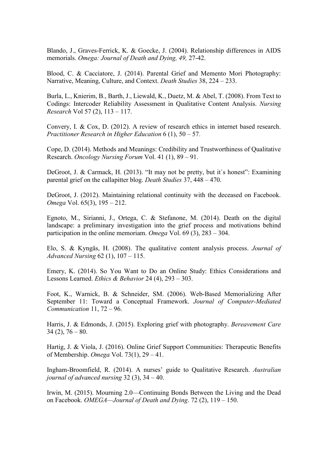Blando, J., Graves-Ferrick, K. & Goecke, J. (2004). Relationship differences in AIDS memorials. *Omega: Journal of Death and Dying, 49,* 27-42.

Blood, C. & Cacciatore, J. (2014). Parental Grief and Memento Mori Photography: Narrative, Meaning, Culture, and Context. *Death Studies* 38, 224 – 233.

Burla, L., Knierim, B., Barth, J., Liewald, K., Duetz, M. & Abel, T. (2008). From Text to Codings: Intercoder Reliability Assessment in Qualitative Content Analysis. *Nursing Research* Vol 57 (2), 113 – 117.

Convery, I. & Cox, D. (2012). A review of research ethics in internet based research. *Practitioner Research in Higher Education* 6 (1), 50 – 57.

Cope, D. (2014). Methods and Meanings: Credibility and Trustworthiness of Qualitative Research. *Oncology Nursing Forum* Vol. 41 (1), 89 – 91.

DeGroot, J. & Carmack, H. (2013). "It may not be pretty, but it`s honest": Examining parental grief on the callapitter blog. *Death Studies* 37, 448 – 470.

DeGroot, J. (2012). Maintaining relational continuity with the deceased on Facebook. *Omega* Vol. 65(3), 195 – 212.

Egnoto, M., Sirianni, J., Ortega, C. & Stefanone, M. (2014). Death on the digital landscape: a preliminary investigation into the grief process and motivations behind participation in the online memoriam. *Omega* Vol. 69 (3), 283 – 304.

Elo, S. & Kyngäs, H. (2008). The qualitative content analysis process. *Journal of Advanced Nursing* 62 (1), 107 – 115.

Emery, K. (2014). So You Want to Do an Online Study: Ethics Considerations and Lessons Learned. *Ethics & Behavior* 24 (4), 293 – 303.

Foot, K., Warnick, B. & Schneider, SM. (2006). Web-Based Memorializing After September 11: Toward a Conceptual Framework. *Journal of Computer-Mediated Communication* 11, 72 – 96.

Harris, J. & Edmonds, J. (2015). Exploring grief with photography. *Bereavement Care*  $34(2)$ ,  $76 - 80$ .

Hartig, J. & Viola, J. (2016). Online Grief Support Communities: Therapeutic Benefits of Membership. *Omega* Vol. 73(1), 29 – 41.

Ingham-Broomfield, R. (2014). A nurses' guide to Qualitative Research. *Australian journal of advanced nursing* 32 (3), 34 – 40.

Irwin, M. (2015). Mourning 2.0—Continuing Bonds Between the Living and the Dead on Facebook. *OMEGA—Journal of Death and Dying*. 72 (2), 119 – 150.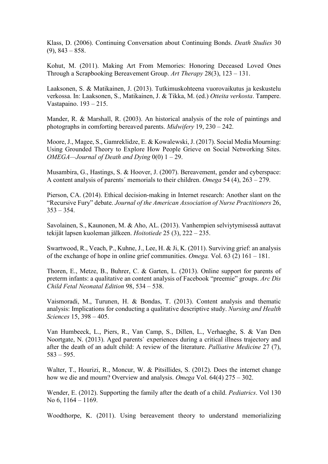Klass, D. (2006). Continuing Conversation about Continuing Bonds. *Death Studies* 30  $(9)$ , 843 – 858.

Kohut, M. (2011). Making Art From Memories: Honoring Deceased Loved Ones Through a Scrapbooking Bereavement Group. *Art Therapy* 28(3), 123 – 131.

Laaksonen, S. & Matikainen, J. (2013). Tutkimuskohteena vuorovaikutus ja keskustelu verkossa. In: Laaksonen, S., Matikainen, J. & Tikka, M. (ed.) *Otteita verkosta*. Tampere. Vastapaino. 193 – 215.

Mander, R. & Marshall, R. (2003). An historical analysis of the role of paintings and photographs in comforting bereaved parents. *Midwifery* 19, 230 – 242.

Moore, J., Magee, S., Gamreklidze, E. & Kowalewski, J. (2017). Social Media Mourning: Using Grounded Theory to Explore How People Grieve on Social Networking Sites. *OMEGA—Journal of Death and Dying* 0(0) 1 – 29.

Musambira, G., Hastings, S. & Hoover, J. (2007). Bereavement, gender and cyberspace: A content analysis of parents´ memorials to their children. *Omega* 54 (4), 263 – 279.

Pierson, CA. (2014). Ethical decision-making in Internet research: Another slant on the "Recursive Fury" debate. *Journal of the American Association of Nurse Practitioners* 26,  $353 - 354$ .

Savolainen, S., Kaunonen, M. & Aho, AL. (2013). Vanhempien selviytymisessä auttavat tekijät lapsen kuoleman jälkeen. *Hoitotiede* 25 (3), 222 – 235.

Swartwood, R., Veach, P., Kuhne, J., Lee, H. & Ji, K. (2011). Surviving grief: an analysis of the exchange of hope in online grief communities. *Omega.* Vol. 63 (2) 161 – 181.

Thoren, E., Metze, B., Buhrer, C. & Garten, L. (2013). Online support for parents of preterm infants: a qualitative an content analysis of Facebook "preemie" groups. *Arc Dis Child Fetal Neonatal Edition* 98, 534 – 538.

Vaismoradi, M., Turunen, H. & Bondas, T. (2013). Content analysis and thematic analysis: Implications for conducting a qualitative descriptive study. *Nursing and Health Sciences* 15, 398 – 405.

Van Humbeeck, L., Piers, R., Van Camp, S., Dillen, L., Verhaeghe, S. & Van Den Noortgate, N. (2013). Aged parents` experiences during a critical illness trajectory and after the death of an adult child: A review of the literature. *Palliative Medicine* 27 (7), 583 – 595.

Walter, T., Hourizi, R., Moncur, W. & Pitsillides, S. (2012). Does the internet change how we die and mourn? Overview and analysis. *Omega* Vol. 64(4) 275 – 302.

Wender, E. (2012). Supporting the family after the death of a child. *Pediatrics*. Vol 130 No 6, 1164 – 1169.

Woodthorpe, K. (2011). Using bereavement theory to understand memorializing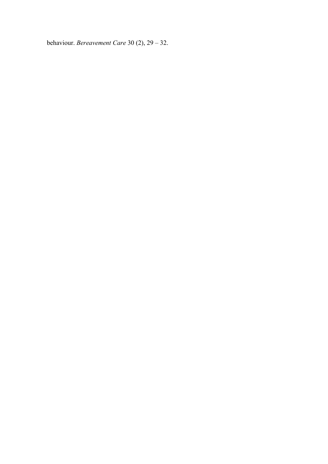behaviour. *Bereavement Care* 30 (2), 29 – 32.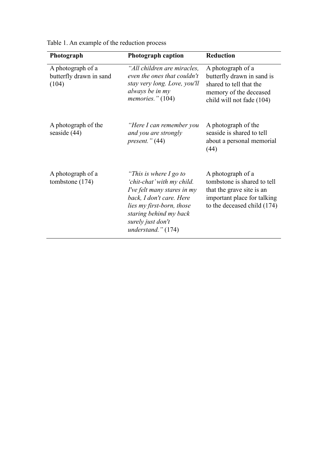| Photograph                                            | <b>Photograph caption</b>                                                                                                                                                                                             | <b>Reduction</b>                                                                                                                            |
|-------------------------------------------------------|-----------------------------------------------------------------------------------------------------------------------------------------------------------------------------------------------------------------------|---------------------------------------------------------------------------------------------------------------------------------------------|
| A photograph of a<br>butterfly drawn in sand<br>(104) | "All children are miracles,<br>even the ones that couldn't<br>stay very long. Love, you'll<br>always be in my<br>memories." $(104)$                                                                                   | A photograph of a<br>butterfly drawn in sand is<br>shared to tell that the<br>memory of the deceased<br>child will not fade (104)           |
| A photograph of the<br>seaside $(44)$                 | "Here I can remember you<br>and you are strongly<br>present." $(44)$                                                                                                                                                  | A photograph of the<br>seaside is shared to tell<br>about a personal memorial<br>(44)                                                       |
| A photograph of a<br>tombstone (174)                  | "This is where $I$ go to<br>'chit-chat' with my child.<br>I've felt many stares in my<br>back, I don't care. Here<br>lies my first-born, those<br>staring behind my back<br>surely just don't<br>understand." $(174)$ | A photograph of a<br>tombstone is shared to tell<br>that the grave site is an<br>important place for talking<br>to the deceased child (174) |

Table 1. An example of the reduction process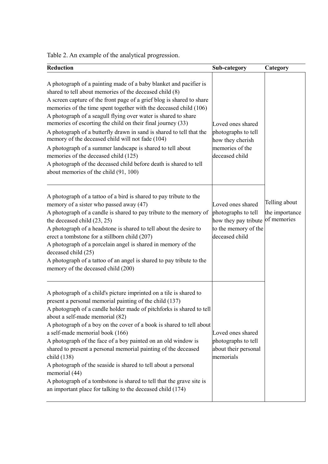Table 2. An example of the analytical progression.

| <b>Reduction</b>                                                                                                                                                                                                                                                                                                                                                                                                                                                                                                                                                                                                                                                                                                                                            | Sub-category                                                                                                           | Category                        |
|-------------------------------------------------------------------------------------------------------------------------------------------------------------------------------------------------------------------------------------------------------------------------------------------------------------------------------------------------------------------------------------------------------------------------------------------------------------------------------------------------------------------------------------------------------------------------------------------------------------------------------------------------------------------------------------------------------------------------------------------------------------|------------------------------------------------------------------------------------------------------------------------|---------------------------------|
| A photograph of a painting made of a baby blanket and pacifier is<br>shared to tell about memories of the deceased child (8)<br>A screen capture of the front page of a grief blog is shared to share<br>memories of the time spent together with the deceased child (106)<br>A photograph of a seagull flying over water is shared to share<br>memories of escorting the child on their final journey (33)<br>A photograph of a butterfly drawn in sand is shared to tell that the<br>memory of the deceased child will not fade (104)<br>A photograph of a summer landscape is shared to tell about<br>memories of the deceased child (125)<br>A photograph of the deceased child before death is shared to tell<br>about memories of the child (91, 100) | Loved ones shared<br>photographs to tell<br>how they cherish<br>memories of the<br>deceased child                      |                                 |
| A photograph of a tattoo of a bird is shared to pay tribute to the<br>memory of a sister who passed away (47)<br>A photograph of a candle is shared to pay tribute to the memory of<br>the deceased child $(23, 25)$<br>A photograph of a headstone is shared to tell about the desire to<br>erect a tombstone for a stillborn child (207)<br>A photograph of a porcelain angel is shared in memory of the<br>deceased child (25)<br>A photograph of a tattoo of an angel is shared to pay tribute to the<br>memory of the deceased child (200)                                                                                                                                                                                                             | Loved ones shared<br>photographs to tell<br>how they pay tribute of memories<br>to the memory of the<br>deceased child | Telling about<br>the importance |
| A photograph of a child's picture imprinted on a tile is shared to<br>present a personal memorial painting of the child (137)<br>A photograph of a candle holder made of pitchforks is shared to tell<br>about a self-made memorial (82)<br>A photograph of a boy on the cover of a book is shared to tell about<br>a self-made memorial book (166)<br>A photograph of the face of a boy painted on an old window is<br>shared to present a personal memorial painting of the deceased<br>child (138)<br>A photograph of the seaside is shared to tell about a personal<br>memorial (44)<br>A photograph of a tombstone is shared to tell that the grave site is<br>an important place for talking to the deceased child (174)                              | Loved ones shared<br>photographs to tell<br>about their personal<br>memorials                                          |                                 |